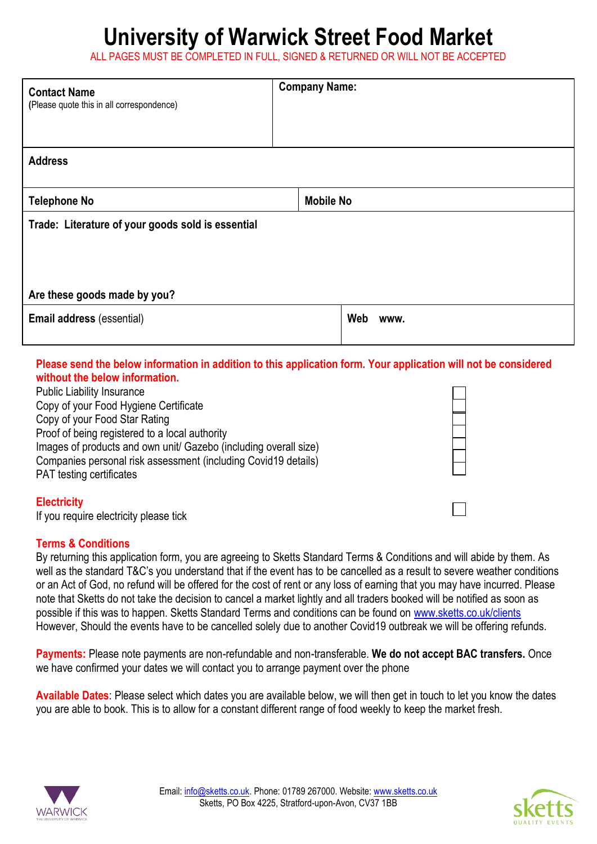## **University of Warwick Street Food Market**

ALL PAGES MUST BE COMPLETED IN FULL, SIGNED & RETURNED OR WILL NOT BE ACCEPTED

| <b>Contact Name</b><br>(Please quote this in all correspondence) | <b>Company Name:</b> |             |  |  |
|------------------------------------------------------------------|----------------------|-------------|--|--|
| <b>Address</b>                                                   |                      |             |  |  |
| <b>Telephone No</b>                                              | <b>Mobile No</b>     |             |  |  |
| Trade: Literature of your goods sold is essential                |                      |             |  |  |
| Are these goods made by you?                                     |                      |             |  |  |
| Email address (essential)                                        |                      | Web<br>www. |  |  |

## **Please send the below information in addition to this application form. Your application will not be considered without the below information.**

Public Liability Insurance Copy of your Food Hygiene Certificate Copy of your Food Star Rating Proof of being registered to a local authority Images of products and own unit/ Gazebo (including overall size) Companies personal risk assessment (including Covid19 details) PAT testing certificates

## **Electricity**

If you require electricity please tick

## **Terms & Conditions**

By returning this application form, you are agreeing to Sketts Standard Terms & Conditions and will abide by them. As well as the standard T&C's you understand that if the event has to be cancelled as a result to severe weather conditions or an Act of God, no refund will be offered for the cost of rent or any loss of earning that you may have incurred. Please note that Sketts do not take the decision to cancel a market lightly and all traders booked will be notified as soon as possible if this was to happen. Sketts Standard Terms and conditions can be found on [www.sketts.co.uk/clients](http://www.sketts.co.uk/clients) However, Should the events have to be cancelled solely due to another Covid19 outbreak we will be offering refunds.

**Payments:** Please note payments are non-refundable and non-transferable. **We do not accept BAC transfers.** Once we have confirmed your dates we will contact you to arrange payment over the phone

**Available Dates**: Please select which dates you are available below, we will then get in touch to let you know the dates you are able to book. This is to allow for a constant different range of food weekly to keep the market fresh.